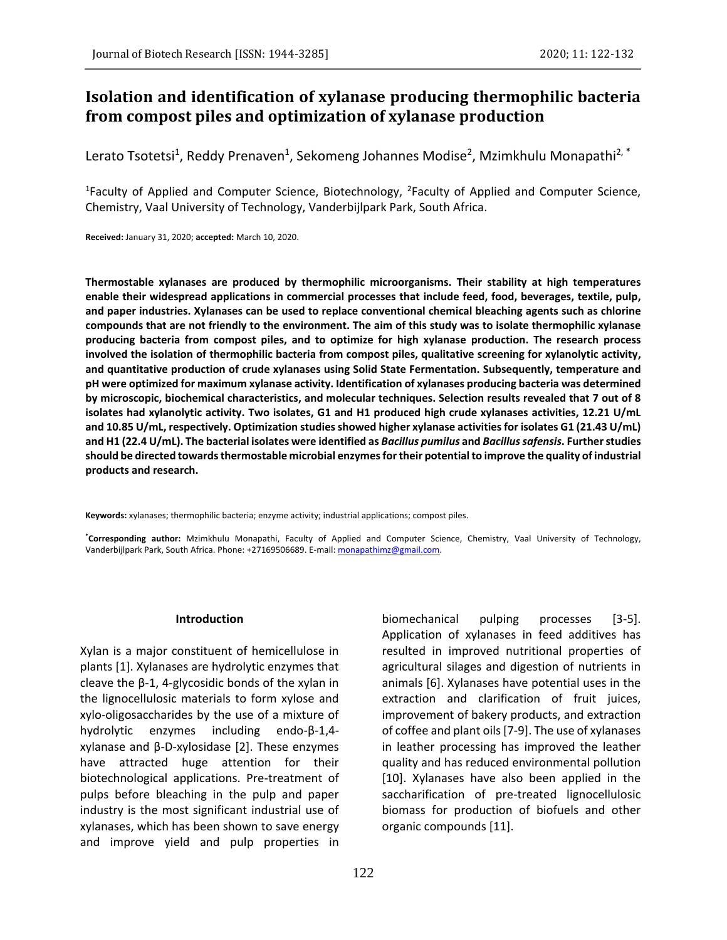# **Isolation and identification of xylanase producing thermophilic bacteria from compost piles and optimization of xylanase production**

Lerato Tsotetsi<sup>1</sup>, Reddy Prenaven<sup>1</sup>, Sekomeng Johannes Modise<sup>2</sup>, Mzimkhulu Monapathi<sup>2, \*</sup>

<sup>1</sup>Faculty of Applied and Computer Science, Biotechnology, <sup>2</sup>Faculty of Applied and Computer Science, Chemistry, Vaal University of Technology, Vanderbijlpark Park, South Africa.

**Received:** January 31, 2020; **accepted:** March 10, 2020.

**Thermostable xylanases are produced by thermophilic microorganisms. Their stability at high temperatures enable their widespread applications in commercial processes that include feed, food, beverages, textile, pulp, and paper industries. Xylanases can be used to replace conventional chemical bleaching agents such as chlorine compounds that are not friendly to the environment. The aim of this study was to isolate thermophilic xylanase producing bacteria from compost piles, and to optimize for high xylanase production. The research process involved the isolation of thermophilic bacteria from compost piles, qualitative screening for xylanolytic activity, and quantitative production of crude xylanases using Solid State Fermentation. Subsequently, temperature and pH were optimized for maximum xylanase activity. Identification of xylanases producing bacteria was determined by microscopic, biochemical characteristics, and molecular techniques. Selection results revealed that 7 out of 8 isolates had xylanolytic activity. Two isolates, G1 and H1 produced high crude xylanases activities, 12.21 U/mL and 10.85 U/mL, respectively. Optimization studies showed higher xylanase activities for isolates G1 (21.43 U/mL) and H1 (22.4 U/mL). The bacterial isolates were identified as** *Bacillus pumilus* **and** *Bacillus safensis***. Further studies should be directed towards thermostable microbial enzymes for their potential to improve the quality of industrial products and research.** 

**Keywords:** xylanases; thermophilic bacteria; enzyme activity; industrial applications; compost piles.

**\*Corresponding author:** Mzimkhulu Monapathi, Faculty of Applied and Computer Science, Chemistry, Vaal University of Technology, Vanderbijlpark Park, South Africa. Phone: +27169506689. E-mail[: monapathimz@gmail.com.](mailto:monapathimz@gmail.com)

#### **Introduction**

Xylan is a major constituent of hemicellulose in plants [1]. Xylanases are hydrolytic enzymes that cleave the  $β-1$ , 4-glycosidic bonds of the xylan in the lignocellulosic materials to form xylose and xylo-oligosaccharides by the use of a mixture of hydrolytic enzymes including endo-β-1,4 xylanase and β-D-xylosidase [2]. These enzymes have attracted huge attention for their biotechnological applications. Pre-treatment of pulps before bleaching in the pulp and paper industry is the most significant industrial use of xylanases, which has been shown to save energy and improve yield and pulp properties in

biomechanical pulping processes [3-5]. Application of xylanases in feed additives has resulted in improved nutritional properties of agricultural silages and digestion of nutrients in animals [6]. Xylanases have potential uses in the extraction and clarification of fruit juices, improvement of bakery products, and extraction of coffee and plant oils [7-9]. The use of xylanases in leather processing has improved the leather quality and has reduced environmental pollution [10]. Xylanases have also been applied in the saccharification of pre-treated lignocellulosic biomass for production of biofuels and other organic compounds [11].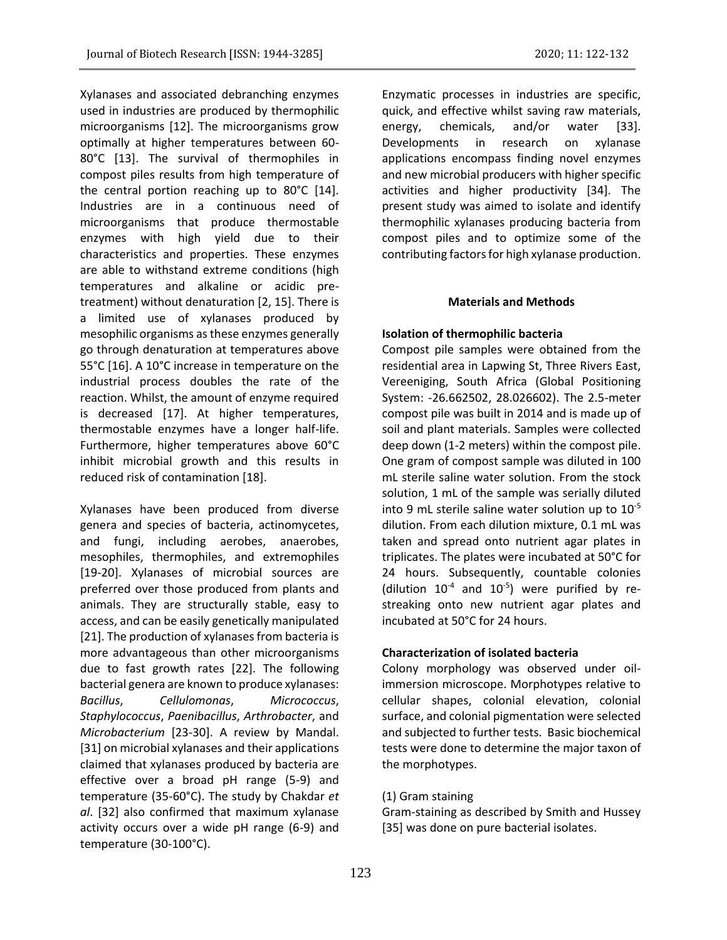Xylanases and associated debranching enzymes used in industries are produced by thermophilic microorganisms [12]. The microorganisms grow optimally at higher temperatures between 60- 80°C [13]. The survival of thermophiles in compost piles results from high temperature of the central portion reaching up to 80°C [14]. Industries are in a continuous need of microorganisms that produce thermostable enzymes with high yield due to their characteristics and properties. These enzymes are able to withstand extreme conditions (high temperatures and alkaline or acidic pretreatment) without denaturation [2, 15]. There is a limited use of xylanases produced by mesophilic organisms as these enzymes generally go through denaturation at temperatures above 55°C [16]. A 10°C increase in temperature on the industrial process doubles the rate of the reaction. Whilst, the amount of enzyme required is decreased [17]. At higher temperatures, thermostable enzymes have a longer half-life. Furthermore, higher temperatures above 60°C inhibit microbial growth and this results in reduced risk of contamination [18].

Xylanases have been produced from diverse genera and species of bacteria, actinomycetes, and fungi, including aerobes, anaerobes, mesophiles, thermophiles, and extremophiles [19-20]. Xylanases of microbial sources are preferred over those produced from plants and animals. They are structurally stable, easy to access, and can be easily genetically manipulated [21]. The production of xylanases from bacteria is more advantageous than other microorganisms due to fast growth rates [22]. The following bacterial genera are known to produce xylanases: *Bacillus*, *Cellulomonas*, *Micrococcus*, *Staphylococcus*, *Paenibacillus*, *Arthrobacter*, and *Microbacterium* [23-30]. A review by Mandal. [31] on microbial xylanases and their applications claimed that xylanases produced by bacteria are effective over a broad pH range (5-9) and temperature (35-60°C). The study by Chakdar *et al*. [32] also confirmed that maximum xylanase activity occurs over a wide pH range (6-9) and temperature (30-100°C).

Enzymatic processes in industries are specific, quick, and effective whilst saving raw materials, energy, chemicals, and/or water [33]. Developments in research on xylanase applications encompass finding novel enzymes and new microbial producers with higher specific activities and higher productivity [34]. The present study was aimed to isolate and identify thermophilic xylanases producing bacteria from compost piles and to optimize some of the contributing factors for high xylanase production.

### **Materials and Methods**

# **Isolation of thermophilic bacteria**

Compost pile samples were obtained from the residential area in Lapwing St, Three Rivers East, Vereeniging, South Africa (Global Positioning System: -26.662502, 28.026602). The 2.5-meter compost pile was built in 2014 and is made up of soil and plant materials. Samples were collected deep down (1-2 meters) within the compost pile. One gram of compost sample was diluted in 100 mL sterile saline water solution. From the stock solution, 1 mL of the sample was serially diluted into 9 mL sterile saline water solution up to 10-5 dilution. From each dilution mixture, 0.1 mL was taken and spread onto nutrient agar plates in triplicates. The plates were incubated at 50°C for 24 hours. Subsequently, countable colonies (dilution  $10^{-4}$  and  $10^{-5}$ ) were purified by restreaking onto new nutrient agar plates and incubated at 50°C for 24 hours.

# **Characterization of isolated bacteria**

Colony morphology was observed under oilimmersion microscope. Morphotypes relative to cellular shapes, colonial elevation, colonial surface, and colonial pigmentation were selected and subjected to further tests. Basic biochemical tests were done to determine the major taxon of the morphotypes.

# (1) Gram staining

Gram-staining as described by Smith and Hussey [35] was done on pure bacterial isolates.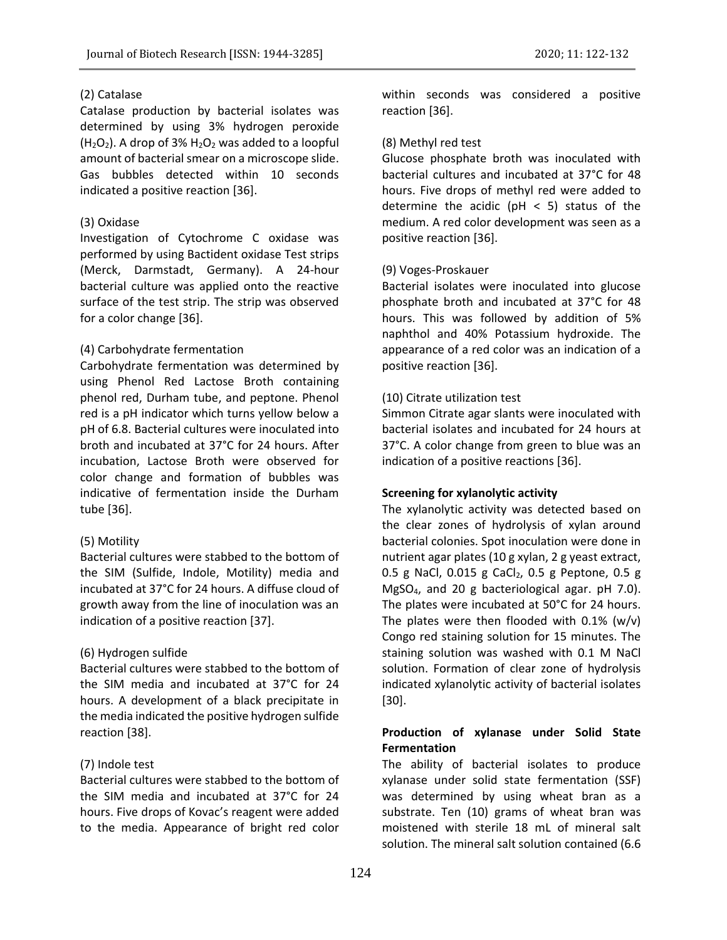# (2) Catalase

Catalase production by bacterial isolates was determined by using 3% hydrogen peroxide  $(H<sub>2</sub>O<sub>2</sub>)$ . A drop of 3%  $H<sub>2</sub>O<sub>2</sub>$  was added to a loopful amount of bacterial smear on a microscope slide. Gas bubbles detected within 10 seconds indicated a positive reaction [36].

### (3) Oxidase

Investigation of Cytochrome C oxidase was performed by using Bactident oxidase Test strips (Merck, Darmstadt, Germany). A 24-hour bacterial culture was applied onto the reactive surface of the test strip. The strip was observed for a color change [36].

### (4) Carbohydrate fermentation

Carbohydrate fermentation was determined by using Phenol Red Lactose Broth containing phenol red, Durham tube, and peptone. Phenol red is a pH indicator which turns yellow below a pH of 6.8. Bacterial cultures were inoculated into broth and incubated at 37°C for 24 hours. After incubation, Lactose Broth were observed for color change and formation of bubbles was indicative of fermentation inside the Durham tube [36].

### (5) Motility

Bacterial cultures were stabbed to the bottom of the SIM (Sulfide, Indole, Motility) media and incubated at 37°C for 24 hours. A diffuse cloud of growth away from the line of inoculation was an indication of a positive reaction [37].

### (6) Hydrogen sulfide

Bacterial cultures were stabbed to the bottom of the SIM media and incubated at 37°C for 24 hours. A development of a black precipitate in the media indicated the positive hydrogen sulfide reaction [38].

# (7) Indole test

Bacterial cultures were stabbed to the bottom of the SIM media and incubated at 37°C for 24 hours. Five drops of Kovac's reagent were added to the media. Appearance of bright red color within seconds was considered a positive reaction [36].

### (8) Methyl red test

Glucose phosphate broth was inoculated with bacterial cultures and incubated at 37°C for 48 hours. Five drops of methyl red were added to determine the acidic ( $pH < 5$ ) status of the medium. A red color development was seen as a positive reaction [36].

### (9) Voges-Proskauer

Bacterial isolates were inoculated into glucose phosphate broth and incubated at 37°C for 48 hours. This was followed by addition of 5% naphthol and 40% Potassium hydroxide. The appearance of a red color was an indication of a positive reaction [36].

### (10) Citrate utilization test

Simmon Citrate agar slants were inoculated with bacterial isolates and incubated for 24 hours at 37°C. A color change from green to blue was an indication of a positive reactions [36].

# **Screening for xylanolytic activity**

The xylanolytic activity was detected based on the clear zones of hydrolysis of xylan around bacterial colonies. Spot inoculation were done in nutrient agar plates (10 g xylan, 2 g yeast extract, 0.5 g NaCl, 0.015 g CaCl<sub>2</sub>, 0.5 g Peptone, 0.5 g MgSO4, and 20 g bacteriological agar. pH 7.0). The plates were incubated at 50°C for 24 hours. The plates were then flooded with 0.1% (w/v) Congo red staining solution for 15 minutes. The staining solution was washed with 0.1 M NaCl solution. Formation of clear zone of hydrolysis indicated xylanolytic activity of bacterial isolates [30].

# **Production of xylanase under Solid State Fermentation**

The ability of bacterial isolates to produce xylanase under solid state fermentation (SSF) was determined by using wheat bran as a substrate. Ten (10) grams of wheat bran was moistened with sterile 18 mL of mineral salt solution. The mineral salt solution contained (6.6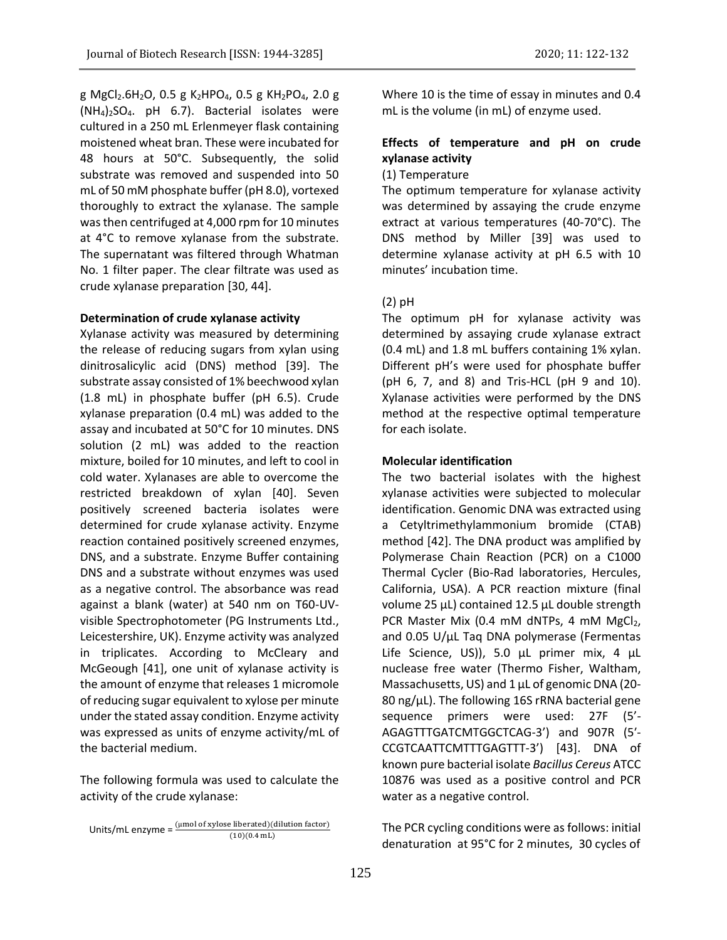g MgCl<sub>2</sub>.6H<sub>2</sub>O, 0.5 g K<sub>2</sub>HPO<sub>4</sub>, 0.5 g KH<sub>2</sub>PO<sub>4</sub>, 2.0 g  $(NH_4)_2SO_4$ . pH 6.7). Bacterial isolates were cultured in a 250 mL Erlenmeyer flask containing moistened wheat bran. These were incubated for 48 hours at 50°C. Subsequently, the solid substrate was removed and suspended into 50 mL of 50 mM phosphate buffer (pH 8.0), vortexed thoroughly to extract the xylanase. The sample was then centrifuged at 4,000 rpm for 10 minutes at 4°C to remove xylanase from the substrate. The supernatant was filtered through Whatman No. 1 filter paper. The clear filtrate was used as crude xylanase preparation [30, 44].

### **Determination of crude xylanase activity**

Xylanase activity was measured by determining the release of reducing sugars from xylan using dinitrosalicylic acid (DNS) method [39]. The substrate assay consisted of 1% beechwood xylan (1.8 mL) in phosphate buffer (pH 6.5). Crude xylanase preparation (0.4 mL) was added to the assay and incubated at 50°C for 10 minutes. DNS solution (2 mL) was added to the reaction mixture, boiled for 10 minutes, and left to cool in cold water. Xylanases are able to overcome the restricted breakdown of xylan [40]. Seven positively screened bacteria isolates were determined for crude xylanase activity. Enzyme reaction contained positively screened enzymes, DNS, and a substrate. Enzyme Buffer containing DNS and a substrate without enzymes was used as a negative control. The absorbance was read against a blank (water) at 540 nm on T60-UVvisible Spectrophotometer (PG Instruments Ltd., Leicestershire, UK). Enzyme activity was analyzed in triplicates. According to McCleary and McGeough [41], one unit of xylanase activity is the amount of enzyme that releases 1 micromole of reducing sugar equivalent to xylose per minute under the stated assay condition. Enzyme activity was expressed as units of enzyme activity/mL of the bacterial medium.

The following formula was used to calculate the activity of the crude xylanase:

Where 10 is the time of essay in minutes and 0.4 mL is the volume (in mL) of enzyme used.

# **Effects of temperature and pH on crude xylanase activity**

### (1) Temperature

The optimum temperature for xylanase activity was determined by assaying the crude enzyme extract at various temperatures (40-70°C). The DNS method by Miller [39] was used to determine xylanase activity at pH 6.5 with 10 minutes' incubation time.

#### (2) pH

The optimum pH for xylanase activity was determined by assaying crude xylanase extract (0.4 mL) and 1.8 mL buffers containing 1% xylan. Different pH's were used for phosphate buffer (pH 6, 7, and 8) and Tris-HCL (pH 9 and 10). Xylanase activities were performed by the DNS method at the respective optimal temperature for each isolate.

### **Molecular identification**

The two bacterial isolates with the highest xylanase activities were subjected to molecular identification. Genomic DNA was extracted using a Cetyltrimethylammonium bromide (CTAB) method [42]. The DNA product was amplified by Polymerase Chain Reaction (PCR) on a C1000 Thermal Cycler (Bio-Rad laboratories, Hercules, California, USA). A PCR reaction mixture (final volume 25 µL) contained 12.5 μL double strength PCR Master Mix (0.4 mM dNTPs, 4 mM MgCl2, and 0.05 U/µL Taq DNA polymerase (Fermentas Life Science, US)), 5.0 μL primer mix, 4 μL nuclease free water (Thermo Fisher, Waltham, Massachusetts, US) and 1 µL of genomic DNA (20-80 ng/ $\mu$ L). The following 16S rRNA bacterial gene sequence primers were used: 27F (5'- AGAGTTTGATCMTGGCTCAG-3') and 907R (5′- CCGTCAATTCMTTTGAGTTT-3') [43]. DNA of known pure bacterial isolate *Bacillus Cereus* ATCC 10876 was used as a positive control and PCR water as a negative control.

The PCR cycling conditions were as follows: initial denaturation at 95°C for 2 minutes, 30 cycles of

Units/mL enzyme =  $\frac{\text{(µmol of xylose liberated)}\text{(dilution factor)}}{\text{(10)(9.4 mJ)}}$  $(10)(0.4$  mL)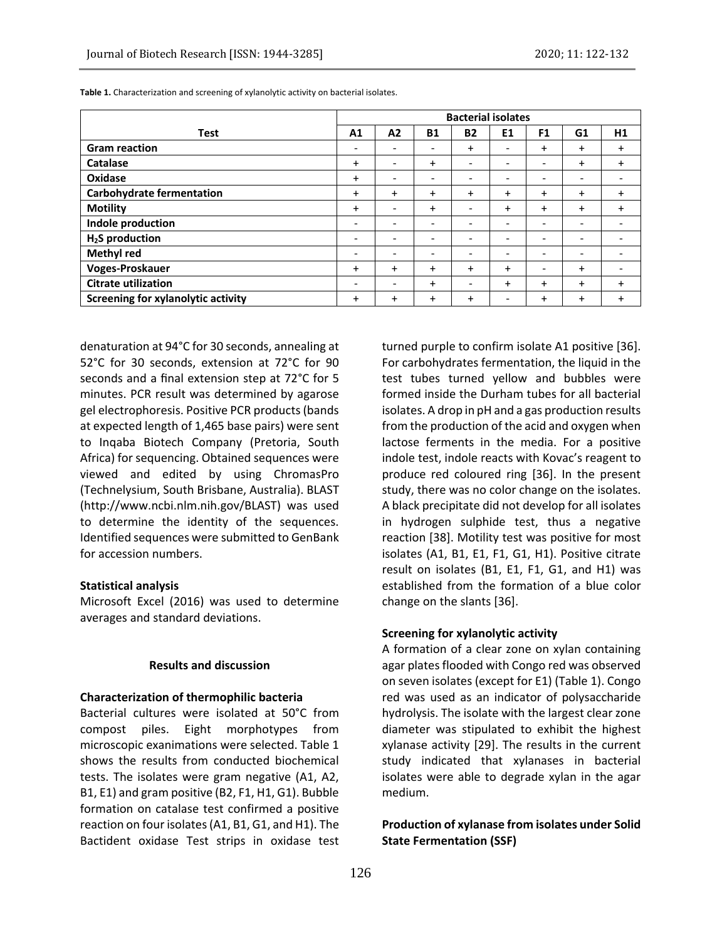|                                    | <b>Bacterial isolates</b>    |           |           |                              |                |                              |                          |           |
|------------------------------------|------------------------------|-----------|-----------|------------------------------|----------------|------------------------------|--------------------------|-----------|
| <b>Test</b>                        | A1                           | A2        | <b>B1</b> | <b>B2</b>                    | E <sub>1</sub> | F1                           | G1                       | H1        |
| <b>Gram reaction</b>               | -                            |           |           | $\ddot{}$                    |                | $\ddot{}$                    | $\ddot{}$                | $\ddot{}$ |
| Catalase                           | $\ddot{}$                    |           | +         | -                            |                | -                            | $\ddot{}$                | $+$       |
| Oxidase                            | $\ddot{}$                    | -         | ۰         | ۰                            |                | -                            | $\overline{\phantom{0}}$ |           |
| <b>Carbohydrate fermentation</b>   | $\ddot{}$                    | $\ddot{}$ | $\ddot{}$ | $\ddot{}$                    | $\ddot{}$      | $\ddot{}$                    | $\ddot{}$                | $+$       |
| <b>Motility</b>                    | $\ddot{}$                    | -         | $\ddot{}$ | $\qquad \qquad \blacksquare$ | $\ddot{}$      | $\ddot{}$                    | $\ddot{}$                | $+$       |
| Indole production                  | $\overline{\phantom{a}}$     | -         | -         | $\overline{\phantom{a}}$     | ٠              | $\qquad \qquad \blacksquare$ | -                        |           |
| H <sub>2</sub> S production        |                              |           |           |                              |                | -                            |                          |           |
| <b>Methyl red</b>                  |                              | -         |           | -                            |                | -                            | -                        |           |
| Voges-Proskauer                    | $\ddot{}$                    | $\ddot{}$ | $\ddot{}$ | $\ddot{}$                    | $\ddot{}$      | $\qquad \qquad \blacksquare$ | $\ddot{}$                |           |
| <b>Citrate utilization</b>         | $\qquad \qquad \blacksquare$ | -         | $\ddot{}$ | $\qquad \qquad \blacksquare$ | $\ddot{}$      | $\ddot{}$                    | $\ddot{}$                | $\ddot{}$ |
| Screening for xylanolytic activity | $\ddot{}$                    | $\ddot{}$ | $\ddot{}$ | $\ddot{}$                    | ٠              | $\ddot{}$                    | $\ddot{}$                |           |

**Table 1.** Characterization and screening of xylanolytic activity on bacterial isolates.

denaturation at 94°C for 30 seconds, annealing at 52°C for 30 seconds, extension at 72°C for 90 seconds and a final extension step at 72°C for 5 minutes. PCR result was determined by agarose gel electrophoresis. Positive PCR products (bands at expected length of 1,465 base pairs) were sent to Inqaba Biotech Company (Pretoria, South Africa) for sequencing. Obtained sequences were viewed and edited by using ChromasPro (Technelysium, South Brisbane, Australia). BLAST (http://www.ncbi.nlm.nih.gov/BLAST) was used to determine the identity of the sequences. Identified sequences were submitted to GenBank for accession numbers.

### **Statistical analysis**

Microsoft Excel (2016) was used to determine averages and standard deviations.

#### **Results and discussion**

#### **Characterization of thermophilic bacteria**

Bacterial cultures were isolated at 50°C from compost piles. Eight morphotypes from microscopic exanimations were selected. Table 1 shows the results from conducted biochemical tests. The isolates were gram negative (A1, A2, B1, E1) and gram positive (B2, F1, H1, G1). Bubble formation on catalase test confirmed a positive reaction on four isolates (A1, B1, G1, and H1). The Bactident oxidase Test strips in oxidase test turned purple to confirm isolate A1 positive [36]. For carbohydrates fermentation, the liquid in the test tubes turned yellow and bubbles were formed inside the Durham tubes for all bacterial isolates. A drop in pH and a gas production results from the production of the acid and oxygen when lactose ferments in the media. For a positive indole test, indole reacts with Kovac's reagent to produce red coloured ring [36]. In the present study, there was no color change on the isolates. A black precipitate did not develop for all isolates in hydrogen sulphide test, thus a negative reaction [38]. Motility test was positive for most isolates (A1, B1, E1, F1, G1, H1). Positive citrate result on isolates (B1, E1, F1, G1, and H1) was established from the formation of a blue color change on the slants [36].

### **Screening for xylanolytic activity**

A formation of a clear zone on xylan containing agar plates flooded with Congo red was observed on seven isolates (except for E1) (Table 1). Congo red was used as an indicator of polysaccharide hydrolysis. The isolate with the largest clear zone diameter was stipulated to exhibit the highest xylanase activity [29]. The results in the current study indicated that xylanases in bacterial isolates were able to degrade xylan in the agar medium.

# **Production of xylanase from isolates under Solid State Fermentation (SSF)**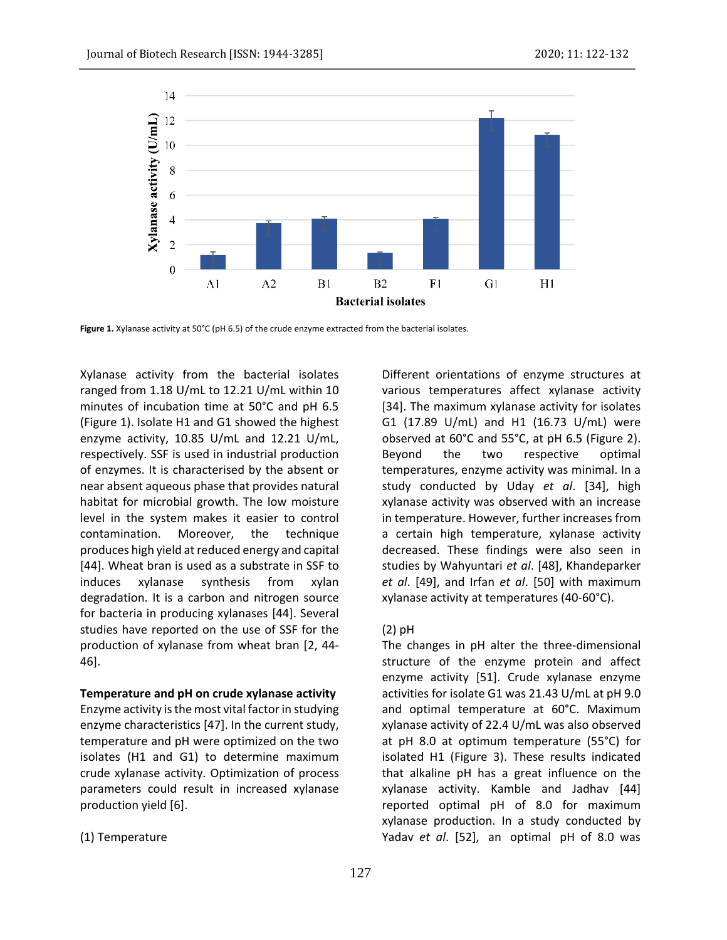

**Figure 1.** Xylanase activity at 50°C (pH 6.5) of the crude enzyme extracted from the bacterial isolates.

Xylanase activity from the bacterial isolates ranged from 1.18 U/mL to 12.21 U/mL within 10 minutes of incubation time at 50°C and pH 6.5 (Figure 1). Isolate H1 and G1 showed the highest enzyme activity, 10.85 U/mL and 12.21 U/mL, respectively. SSF is used in industrial production of enzymes. It is characterised by the absent or near absent aqueous phase that provides natural habitat for microbial growth. The low moisture level in the system makes it easier to control contamination. Moreover, the technique produces high yield at reduced energy and capital [44]. Wheat bran is used as a substrate in SSF to induces xylanase synthesis from xylan degradation. It is a carbon and nitrogen source for bacteria in producing xylanases [44]. Several studies have reported on the use of SSF for the production of xylanase from wheat bran [2, 44- 46].

### **Temperature and pH on crude xylanase activity**

Enzyme activity is the most vital factor in studying enzyme characteristics [47]. In the current study, temperature and pH were optimized on the two isolates (H1 and G1) to determine maximum crude xylanase activity. Optimization of process parameters could result in increased xylanase production yield [6].

#### (1) Temperature

Different orientations of enzyme structures at various temperatures affect xylanase activity [34]. The maximum xylanase activity for isolates G1 (17.89 U/mL) and H1 (16.73 U/mL) were observed at 60°C and 55°C, at pH 6.5 (Figure 2). Beyond the two respective optimal temperatures, enzyme activity was minimal. In a study conducted by Uday *et al*. [34], high xylanase activity was observed with an increase in temperature. However, further increases from a certain high temperature, xylanase activity decreased. These findings were also seen in studies by Wahyuntari *et al*. [48], Khandeparker *et al*. [49], and Irfan *et al*. [50] with maximum xylanase activity at temperatures (40-60°C).

#### (2) pH

The changes in pH alter the three-dimensional structure of the enzyme protein and affect enzyme activity [51]. Crude xylanase enzyme activities for isolate G1 was 21.43 U/mL at pH 9.0 and optimal temperature at 60°C. Maximum xylanase activity of 22.4 U/mL was also observed at pH 8.0 at optimum temperature (55°C) for isolated H1 (Figure 3). These results indicated that alkaline pH has a great influence on the xylanase activity. Kamble and Jadhav [44] reported optimal pH of 8.0 for maximum xylanase production. In a study conducted by Yadav *et al*. [52], an optimal pH of 8.0 was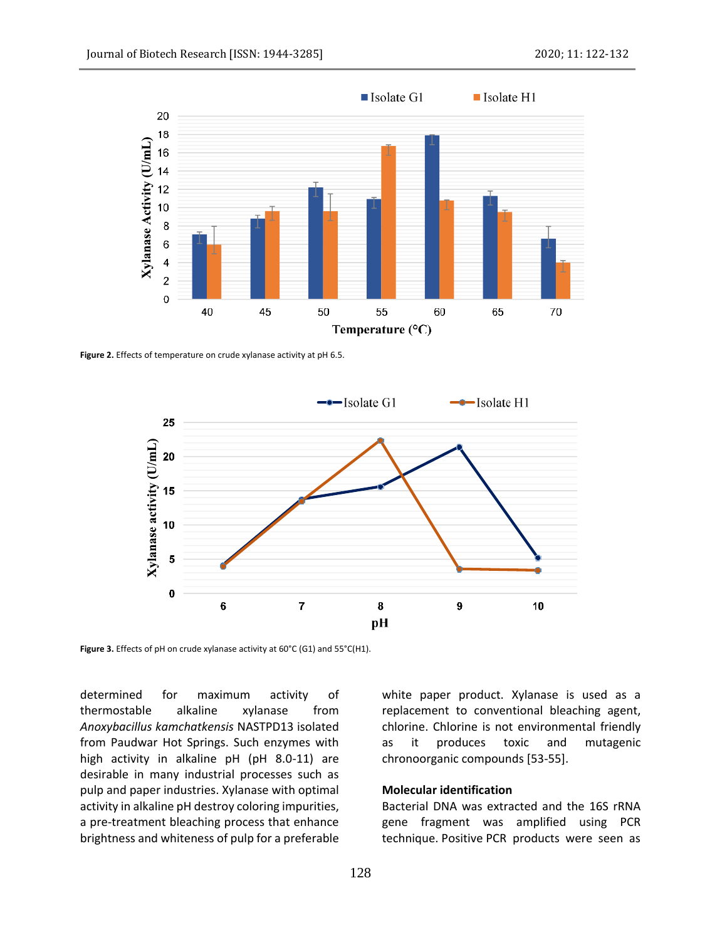

**Figure 2.** Effects of temperature on crude xylanase activity at pH 6.5.



**Figure 3.** Effects of pH on crude xylanase activity at 60°C (G1) and 55°C(H1).

determined for maximum activity of thermostable alkaline xylanase from *Anoxybacillus kamchatkensis* NASTPD13 isolated from Paudwar Hot Springs. Such enzymes with high activity in alkaline pH (pH 8.0-11) are desirable in many industrial processes such as pulp and paper industries. Xylanase with optimal activity in alkaline pH destroy coloring impurities, a pre-treatment bleaching process that enhance brightness and whiteness of pulp for a preferable white paper product. Xylanase is used as a replacement to conventional bleaching agent, chlorine. Chlorine is not environmental friendly as it produces toxic and mutagenic chronoorganic compounds [53-55].

## **Molecular identification**

Bacterial DNA was extracted and the 16S rRNA gene fragment was amplified using PCR technique. Positive PCR products were seen as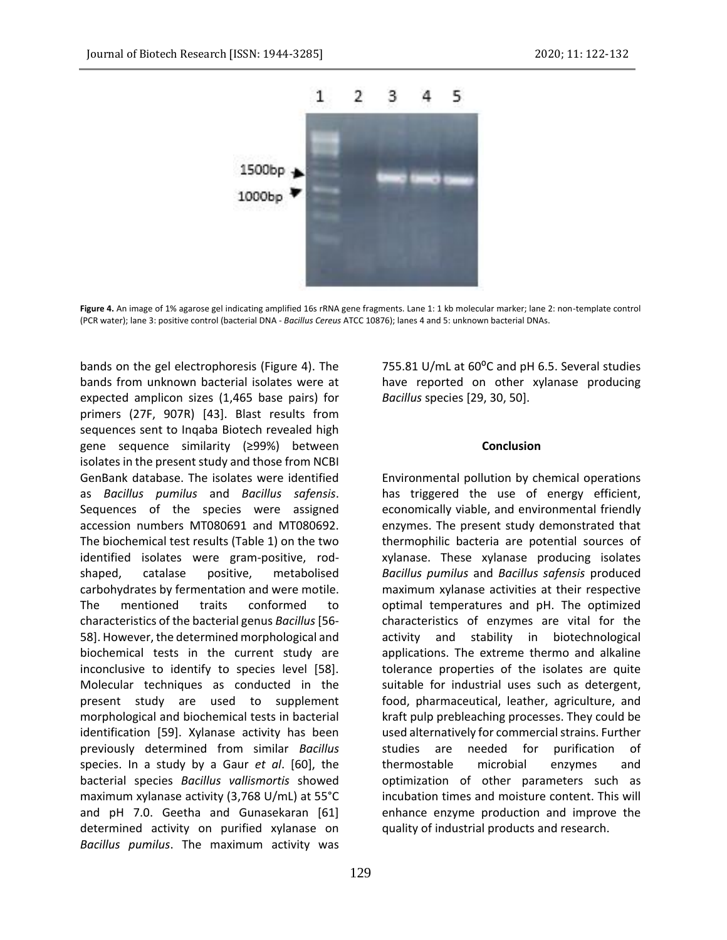

**Figure 4.** An image of 1% agarose gel indicating amplified 16s rRNA gene fragments. Lane 1: 1 kb molecular marker; lane 2: non-template control (PCR water); lane 3: positive control (bacterial DNA - *Bacillus Cereus* ATCC 10876); lanes 4 and 5: unknown bacterial DNAs.

bands on the gel electrophoresis (Figure 4). The bands from unknown bacterial isolates were at expected amplicon sizes (1,465 base pairs) for primers (27F, 907R) [43]. Blast results from sequences sent to Inqaba Biotech revealed high gene sequence similarity (≥99%) between isolates in the present study and those from NCBI GenBank database. The isolates were identified as *Bacillus pumilus* and *Bacillus safensis*. Sequences of the species were assigned accession numbers MT080691 and MT080692. The biochemical test results (Table 1) on the two identified isolates were gram-positive, rodshaped, catalase positive, metabolised carbohydrates by fermentation and were motile. The mentioned traits conformed to characteristics of the bacterial genus *Bacillus*[56- 58]. However, the determined morphological and biochemical tests in the current study are inconclusive to identify to species level [58]. Molecular techniques as conducted in the present study are used to supplement morphological and biochemical tests in bacterial identification [59]. Xylanase activity has been previously determined from similar *Bacillus* species. In a study by a Gaur *et al*. [60], the bacterial species *Bacillus vallismortis* showed maximum xylanase activity (3,768 U/mL) at 55°C and pH 7.0. Geetha and Gunasekaran [61] determined activity on purified xylanase on *Bacillus pumilus*. The maximum activity was

129

755.81 U/mL at  $60^{\circ}$ C and pH 6.5. Several studies have reported on other xylanase producing *Bacillus* species [29, 30, 50].

#### **Conclusion**

Environmental pollution by chemical operations has triggered the use of energy efficient, economically viable, and environmental friendly enzymes. The present study demonstrated that thermophilic bacteria are potential sources of xylanase. These xylanase producing isolates *Bacillus pumilus* and *Bacillus safensis* produced maximum xylanase activities at their respective optimal temperatures and pH. The optimized characteristics of enzymes are vital for the activity and stability in biotechnological applications. The extreme thermo and alkaline tolerance properties of the isolates are quite suitable for industrial uses such as detergent, food, pharmaceutical, leather, agriculture, and kraft pulp prebleaching processes. They could be used alternatively for commercial strains. Further studies are needed for purification of thermostable microbial enzymes and optimization of other parameters such as incubation times and moisture content. This will enhance enzyme production and improve the quality of industrial products and research.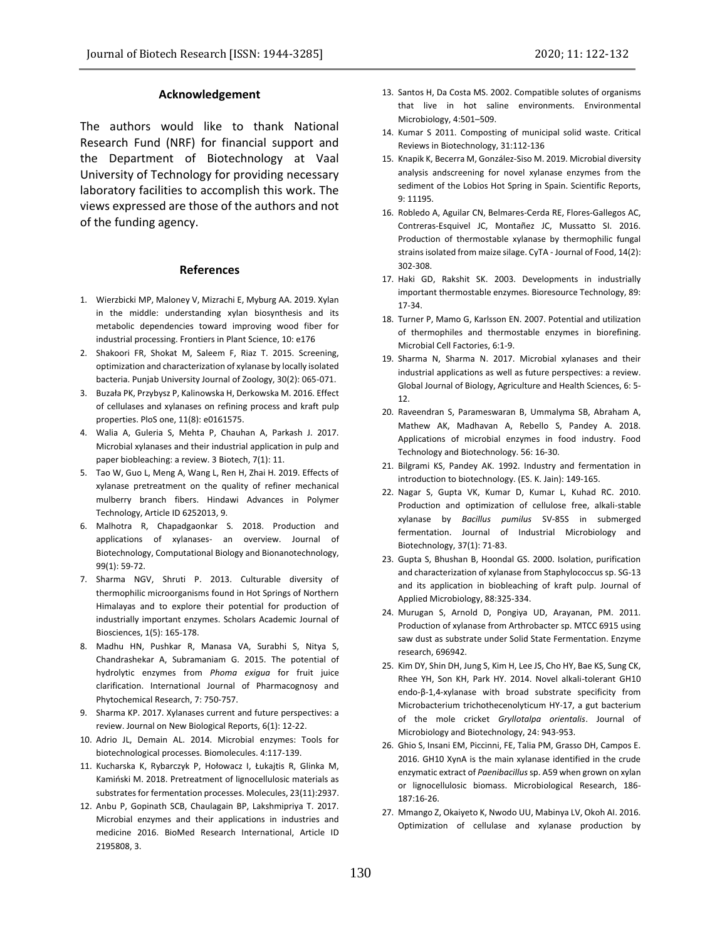#### **Acknowledgement**

The authors would like to thank National Research Fund (NRF) for financial support and the Department of Biotechnology at Vaal University of Technology for providing necessary laboratory facilities to accomplish this work. The views expressed are those of the authors and not of the funding agency.

#### **References**

- 1. Wierzbicki MP, Maloney V, Mizrachi E, Myburg AA. 2019. Xylan in the middle: understanding xylan biosynthesis and its metabolic dependencies toward improving wood fiber for industrial processing. Frontiers in Plant Science, 10: e176
- 2. Shakoori FR, Shokat M, Saleem F, Riaz T. 2015. Screening, optimization and characterization of xylanase by locally isolated bacteria. Punjab University Journal of Zoology, 30(2): 065-071.
- 3. Buzała PK, Przybysz P, Kalinowska H, Derkowska M. 2016. Effect of cellulases and xylanases on refining process and kraft pulp properties. PloS one, 11(8): e0161575.
- 4. Walia A, Guleria S, Mehta P, Chauhan A, Parkash J. 2017. Microbial xylanases and their industrial application in pulp and paper biobleaching: a review. 3 Biotech, 7(1): 11.
- 5. Tao W, Guo L, Meng A, Wang L, Ren H, Zhai H. 2019. Effects of xylanase pretreatment on the quality of refiner mechanical mulberry branch fibers. Hindawi Advances in Polymer Technology, Article ID 6252013, 9.
- 6. Malhotra R, Chapadgaonkar S. 2018. Production and applications of xylanases- an overview. Journal of Biotechnology, Computational Biology and Bionanotechnology, 99(1): 59-72.
- 7. Sharma NGV, Shruti P. 2013. Culturable diversity of thermophilic microorganisms found in Hot Springs of Northern Himalayas and to explore their potential for production of industrially important enzymes. Scholars Academic Journal of Biosciences, 1(5): 165-178.
- 8. Madhu HN, Pushkar R, Manasa VA, Surabhi S, Nitya S, Chandrashekar A, Subramaniam G. 2015. The potential of hydrolytic enzymes from *Phoma exigua* for fruit juice clarification. International Journal of Pharmacognosy and Phytochemical Research, 7: 750-757.
- 9. Sharma KP. 2017. Xylanases current and future perspectives: a review. Journal on New Biological Reports, 6(1): 12-22.
- 10. Adrio JL, Demain AL. 2014. Microbial enzymes: Tools for biotechnological processes. Biomolecules. 4:117-139.
- 11. Kucharska K, Rybarczyk P, Hołowacz I, Łukajtis R, Glinka M, Kamiński M. 2018. Pretreatment of lignocellulosic materials as substrates for fermentation processes. Molecules, 23(11):2937.
- 12. Anbu P, Gopinath SCB, Chaulagain BP, Lakshmipriya T. 2017. Microbial enzymes and their applications in industries and medicine 2016. BioMed Research International, Article ID 2195808, 3.
- 13. Santos H, Da Costa MS. 2002. Compatible solutes of organisms that live in hot saline environments. Environmental Microbiology, 4:501–509.
- 14. Kumar S 2011. Composting of municipal solid waste. Critical Reviews in Biotechnology, 31:112-136
- 15. Knapik K, Becerra M, González-Siso M. 2019. Microbial diversity analysis andscreening for novel xylanase enzymes from the sediment of the Lobios Hot Spring in Spain. Scientific Reports, 9: 11195.
- 16. Robledo A, Aguilar CN, Belmares-Cerda RE, Flores-Gallegos AC, Contreras-Esquivel JC, Montañez JC, Mussatto SI. 2016. Production of thermostable xylanase by thermophilic fungal strains isolated from maize silage. CyTA - Journal of Food, 14(2): 302-308.
- 17. Haki GD, Rakshit SK. 2003. Developments in industrially important thermostable enzymes. Bioresource Technology, 89: 17-34.
- 18. Turner P, Mamo G, Karlsson EN. 2007. Potential and utilization of thermophiles and thermostable enzymes in biorefining. Microbial Cell Factories, 6:1-9.
- 19. Sharma N, Sharma N. 2017. Microbial xylanases and their industrial applications as well as future perspectives: a review. Global Journal of Biology, Agriculture and Health Sciences, 6: 5- 12.
- 20. Raveendran S, Parameswaran B, Ummalyma SB, Abraham A, Mathew AK, Madhavan A, Rebello S, Pandey A. 2018. Applications of microbial enzymes in food industry. Food Technology and Biotechnology. 56: 16-30.
- 21. Bilgrami KS, Pandey AK. 1992. Industry and fermentation in introduction to biotechnology. (ES. K. Jain): 149-165.
- 22. Nagar S, Gupta VK, Kumar D, Kumar L, Kuhad RC. 2010. Production and optimization of cellulose free, alkali-stable xylanase by *Bacillus pumilus* SV-85S in submerged fermentation. Journal of Industrial Microbiology and Biotechnology, 37(1): 71-83.
- 23. Gupta S, Bhushan B, Hoondal GS. 2000. Isolation, purification and characterization of xylanase from Staphylococcus sp. SG-13 and its application in biobleaching of kraft pulp. Journal of Applied Microbiology, 88:325-334.
- 24. Murugan S, Arnold D, Pongiya UD, Arayanan, PM. 2011. Production of xylanase from Arthrobacter sp. MTCC 6915 using saw dust as substrate under Solid State Fermentation. Enzyme research, 696942.
- 25. Kim DY, Shin DH, Jung S, Kim H, Lee JS, Cho HY, Bae KS, Sung CK, Rhee YH, Son KH, Park HY. 2014. Novel alkali-tolerant GH10 endo-β-1,4-xylanase with broad substrate specificity from Microbacterium trichothecenolyticum HY-17, a gut bacterium of the mole cricket *Gryllotalpa orientalis*. Journal of Microbiology and Biotechnology, 24: 943-953.
- 26. Ghio S, Insani EM, Piccinni, FE, Talia PM, Grasso DH, Campos E. 2016. GH10 XynA is the main xylanase identified in the crude enzymatic extract of *Paenibacillus*sp. A59 when grown on xylan or lignocellulosic biomass. Microbiological Research, 186- 187:16-26.
- 27. Mmango Z, Okaiyeto K, Nwodo UU, Mabinya LV, Okoh AI. 2016. Optimization of cellulase and xylanase production by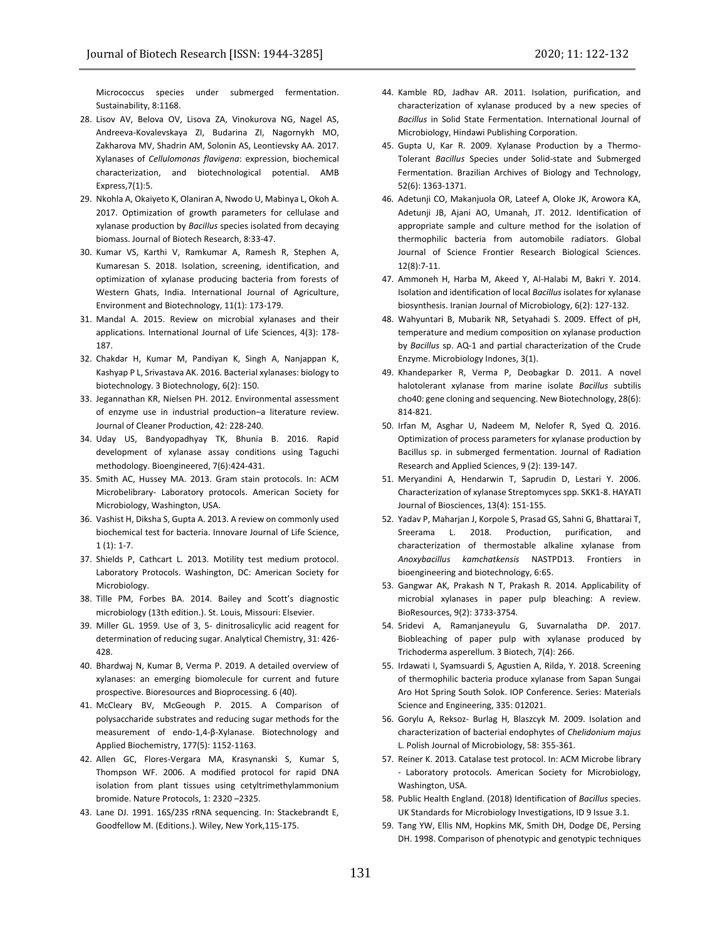Micrococcus species under submerged fermentation. Sustainability, 8:1168.

- 28. Lisov AV, Belova OV, Lisova ZA, Vinokurova NG, Nagel AS, Andreeva-Kovalevskaya ZI, Budarina ZI, Nagornykh MO, Zakharova MV, Shadrin AM, Solonin AS, Leontievsky AA. 2017. Xylanases of *Cellulomonas flavigena*: expression, biochemical characterization, and biotechnological potential. AMB Express,7(1):5.
- 29. Nkohla A, Okaiyeto K, Olaniran A, Nwodo U, Mabinya L, Okoh A. 2017. Optimization of growth parameters for cellulase and xylanase production by *Bacillus* species isolated from decaying biomass. Journal of Biotech Research, 8:33-47.
- 30. Kumar VS, Karthi V, Ramkumar A, Ramesh R, Stephen A, Kumaresan S. 2018. Isolation, screening, identification, and optimization of xylanase producing bacteria from forests of Western Ghats, India. International Journal of Agriculture, Environment and Biotechnology, 11(1): 173-179.
- 31. Mandal A. 2015. Review on microbial xylanases and their applications. International Journal of Life Sciences, 4(3): 178- 187.
- 32. Chakdar H, Kumar M, Pandiyan K, Singh A, Nanjappan K, Kashyap P L, Srivastava AK. 2016. Bacterial xylanases: biology to biotechnology. 3 Biotechnology, 6(2): 150.
- 33. Jegannathan KR, Nielsen PH. 2012. Environmental assessment of enzyme use in industrial production–a literature review. Journal of Cleaner Production, 42: 228-240.
- 34. Uday US, Bandyopadhyay TK, Bhunia B. 2016. Rapid development of xylanase assay conditions using Taguchi methodology. Bioengineered, 7(6):424-431.
- 35. Smith AC, Hussey MA. 2013. Gram stain protocols. In: ACM Microbelibrary- Laboratory protocols. American Society for Microbiology, Washington, USA.
- 36. Vashist H, Diksha S, Gupta A. 2013. A review on commonly used biochemical test for bacteria. Innovare Journal of Life Science,  $1(1): 1-7.$
- 37. Shields P, Cathcart L. 2013. Motility test medium protocol. Laboratory Protocols. Washington, DC: American Society for Microbiology.
- 38. Tille PM, Forbes BA. 2014. Bailey and Scott's diagnostic microbiology (13th edition.). St. Louis, Missouri: Elsevier.
- 39. Miller GL. 1959. Use of 3, 5- dinitrosalicylic acid reagent for determination of reducing sugar. Analytical Chemistry, 31: 426- 428.
- 40. Bhardwaj N, Kumar B, Verma P. 2019. A detailed overview of xylanases: an emerging biomolecule for current and future prospective. Bioresources and Bioprocessing. 6 (40).
- 41. McCleary BV, McGeough P. 2015. A Comparison of polysaccharide substrates and reducing sugar methods for the measurement of endo-1,4-β-Xylanase. Biotechnology and Applied Biochemistry, 177(5): 1152-1163.
- 42. Allen GC, Flores-Vergara MA, Krasynanski S, Kumar S, Thompson WF. 2006. A modified protocol for rapid DNA isolation from plant tissues using cetyltrimethylammonium bromide. Nature Protocols, 1: 2320 –2325.
- 43. Lane DJ. 1991. 16S/23S rRNA sequencing. In: Stackebrandt E, Goodfellow M. (Editions.). Wiley, New York,115-175.
- 44. Kamble RD, Jadhav AR. 2011. Isolation, purification, and characterization of xylanase produced by a new species of *Bacillus* in Solid State Fermentation. International Journal of Microbiology, Hindawi Publishing Corporation.
- 45. Gupta U, Kar R. 2009. Xylanase Production by a Thermo-Tolerant *Bacillus* Species under Solid-state and Submerged Fermentation. Brazilian Archives of Biology and Technology, 52(6): 1363-1371.
- 46. Adetunji CO, Makanjuola OR, Lateef A, Oloke JK, Arowora KA, Adetunji JB, Ajani AO, Umanah, JT. 2012. Identification of appropriate sample and culture method for the isolation of thermophilic bacteria from automobile radiators. Global Journal of Science Frontier Research Biological Sciences. 12(8):7-11.
- 47. Ammoneh H, Harba M, Akeed Y, Al-Halabi M, Bakri Y. 2014. Isolation and identification of local *Bacillus* isolates for xylanase biosynthesis. Iranian Journal of Microbiology, 6(2): 127-132.
- 48. Wahyuntari B, Mubarik NR, Setyahadi S. 2009. Effect of pH, temperature and medium composition on xylanase production by *Bacillus* sp. AQ-1 and partial characterization of the Crude Enzyme. Microbiology Indones, 3(1).
- 49. Khandeparker R, Verma P, Deobagkar D. 2011. A novel halotolerant xylanase from marine isolate *Bacillus* subtilis cho40: gene cloning and sequencing. New Biotechnology, 28(6): 814-821.
- 50. Irfan M, Asghar U, Nadeem M, Nelofer R, Syed Q. 2016. Optimization of process parameters for xylanase production by Bacillus sp. in submerged fermentation. Journal of Radiation Research and Applied Sciences, 9 (2): 139-147.
- 51. Meryandini A, Hendarwin T, Saprudin D, Lestari Y. 2006. Characterization of xylanase Streptomyces spp. SKK1-8. HAYATI Journal of Biosciences, 13(4): 151-155.
- 52. Yadav P, Maharjan J, Korpole S, Prasad GS, Sahni G, Bhattarai T, Sreerama L. 2018. Production, purification, and characterization of thermostable alkaline xylanase from *Anoxybacillus kamchatkensis* NASTPD13. Frontiers in bioengineering and biotechnology, 6:65.
- 53. Gangwar AK, Prakash N T, Prakash R. 2014. Applicability of microbial xylanases in paper pulp bleaching: A review. BioResources, 9(2): 3733-3754.
- 54. Sridevi A, Ramanjaneyulu G, Suvarnalatha DP. 2017. Biobleaching of paper pulp with xylanase produced by Trichoderma asperellum. 3 Biotech, 7(4): 266.
- 55. Irdawati I, Syamsuardi S, Agustien A, Rilda, Y. 2018. Screening of thermophilic bacteria produce xylanase from Sapan Sungai Aro Hot Spring South Solok. IOP Conference. Series: Materials Science and Engineering, 335: 012021.
- 56. Gorylu A, Reksoz- Burlag H, Blaszcyk M. 2009. Isolation and characterization of bacterial endophytes of *Chelidonium majus* L. Polish Journal of Microbiology, 58: 355-361.
- 57. Reiner K. 2013. Catalase test protocol. In: ACM Microbe library - Laboratory protocols. American Society for Microbiology, Washington, USA.
- 58. Public Health England. (2018) Identification of *Bacillus* species. UK Standards for Microbiology Investigations, ID 9 Issue 3.1.
- 59. Tang YW, Ellis NM, Hopkins MK, Smith DH, Dodge DE, Persing DH. 1998. Comparison of phenotypic and genotypic techniques